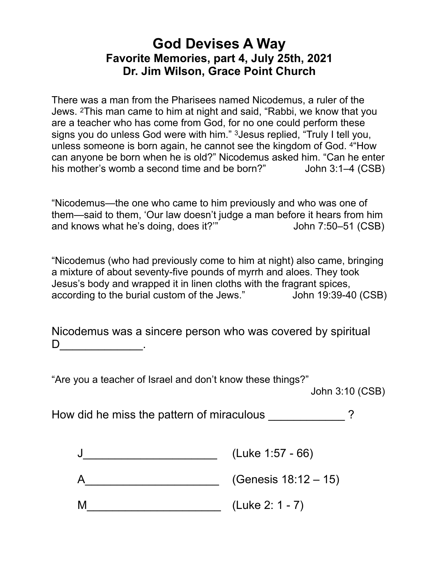## **God Devises A Way Favorite Memories, part 4, July 25th, 2021 Dr. Jim Wilson, Grace Point Church**

There was a man from the Pharisees named Nicodemus, a ruler of the Jews. 2This man came to him at night and said, "Rabbi, we know that you are a teacher who has come from God, for no one could perform these signs you do unless God were with him." 3Jesus replied, "Truly I tell you, unless someone is born again, he cannot see the kingdom of God. 4"How can anyone be born when he is old?" Nicodemus asked him. "Can he enter his mother's womb a second time and be born?" John 3:1–4 (CSB)

"Nicodemus—the one who came to him previously and who was one of them—said to them, 'Our law doesn't judge a man before it hears from him and knows what he's doing, does it?" John 7:50–51 (CSB)

"Nicodemus (who had previously come to him at night) also came, bringing a mixture of about seventy-five pounds of myrrh and aloes. They took Jesus's body and wrapped it in linen cloths with the fragrant spices, according to the burial custom of the Jews." John 19:39-40 (CSB)

Nicodemus was a sincere person who was covered by spiritual  $D$  .

"Are you a teacher of Israel and don't know these things?"

John 3:10 (CSB)

How did he miss the pattern of miraculous  $\sim$  ?

A\_\_\_\_\_\_\_\_\_\_\_\_\_\_\_\_\_\_\_\_\_ (Genesis 18:12 – 15)

M (Luke 2: 1 - 7)